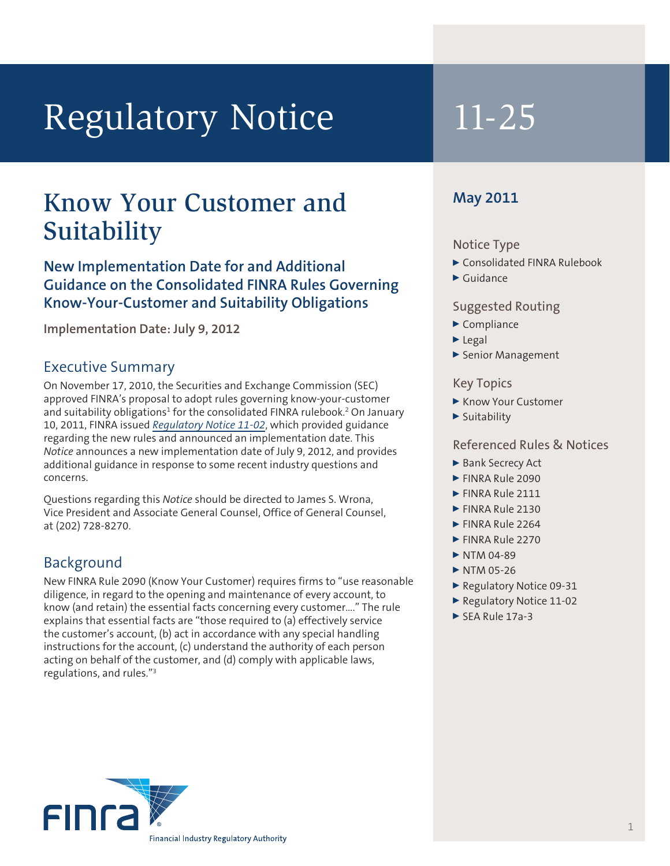# Regulatory Notice 11-25

## Know Your Customer and May 2011 Suitability

## **New Implementation Date for and Additional Guidance on the Consolidated FINRA Rules Governing Know-Your-Customer and Suitability Obligations**

**Implementation Date: July 9, 2012**

#### Executive Summary

On November 17, 2010, the Securities and Exchange Commission (SEC) approved FINRA's proposal to adopt rules governing know-your-customer and suitability obligations<sup>1</sup> for the consolidated FINRA rulebook.<sup>2</sup> On January 10, 2011, FINRA issued *[Regulatory Notice 11-02](http://www.finra.org/Industry/Regulation/Notices/2011/P122779)*, which provided guidance regarding the new rules and announced an implementation date. This *Notice* announces a new implementation date of July 9, 2012, and provides additional guidance in response to some recent industry questions and concerns.

Questions regarding this *Notice* should be directed to James S. Wrona, Vice President and Associate General Counsel, Office of General Counsel, at (202) 728-8270.

### Background

New FINRA Rule 2090 (Know Your Customer) requires firms to "use reasonable diligence, in regard to the opening and maintenance of every account, to know (and retain) the essential facts concerning every customer…." The rule explains that essential facts are "those required to (a) effectively service the customer's account, (b) act in accordance with any special handling instructions for the account, (c) understand the authority of each person acting on behalf of the customer, and (d) comply with applicable laws, regulations, and rules."3

#### Notice Type

- ▶ Consolidated FINRA Rulebook
- $\blacktriangleright$  Guidance

#### Suggested Routing

- $\blacktriangleright$  Compliance
- $\blacktriangleright$  Legal
- ▶ Senior Management

#### Key Topics

- Know Your Customer
- $\blacktriangleright$  Suitability

#### Referenced Rules & Notices

- ▶ Bank Secrecy Act
- **FINRA Rule 2090**
- $\blacktriangleright$  FINRA Rule 2111
- $\blacktriangleright$  FINRA Rule 2130
- FINRA Rule 2264
- FINRA Rule 2270
- $\triangleright$  NTM 04-89
- $\triangleright$  NTM 05-26
- ▶ Regulatory Notice 09-31
- Regulatory Notice 11-02
- $\blacktriangleright$  SEA Rule 17a-3

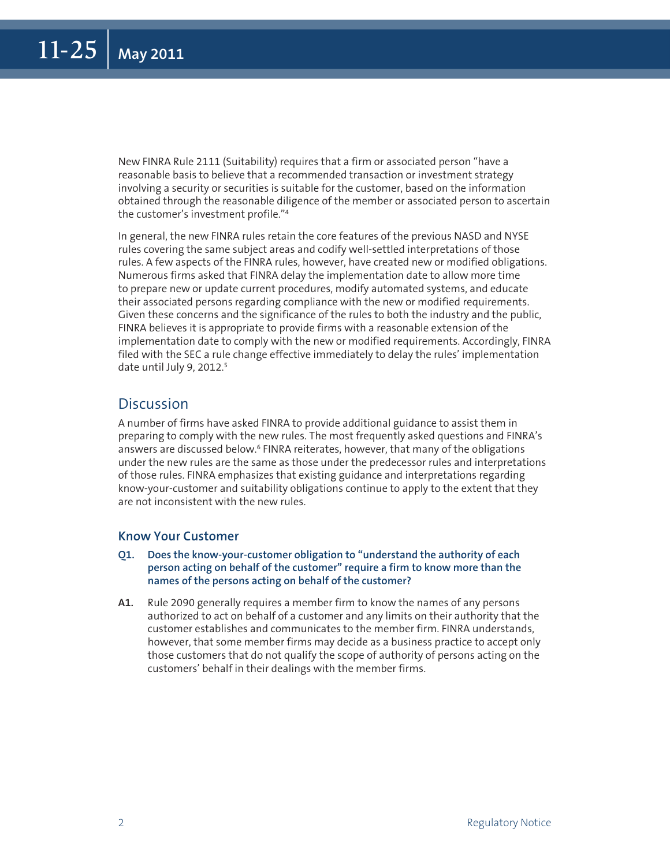New FINRA Rule 2111 (Suitability) requires that a firm or associated person "have a reasonable basis to believe that a recommended transaction or investment strategy involving a security or securities is suitable for the customer, based on the information obtained through the reasonable diligence of the member or associated person to ascertain the customer's investment profile."4

In general, the new FINRA rules retain the core features of the previous NASD and NYSE rules covering the same subject areas and codify well-settled interpretations of those rules. A few aspects of the FINRA rules, however, have created new or modified obligations. Numerous firms asked that FINRA delay the implementation date to allow more time to prepare new or update current procedures, modify automated systems, and educate their associated persons regarding compliance with the new or modified requirements. Given these concerns and the significance of the rules to both the industry and the public, FINRA believes it is appropriate to provide firms with a reasonable extension of the implementation date to comply with the new or modified requirements. Accordingly, FINRA filed with the SEC a rule change effective immediately to delay the rules' implementation date until July 9, 2012.<sup>5</sup>

#### **Discussion**

A number of firms have asked FINRA to provide additional guidance to assist them in preparing to comply with the new rules. The most frequently asked questions and FINRA's answers are discussed below.<sup>6</sup> FINRA reiterates, however, that many of the obligations under the new rules are the same as those under the predecessor rules and interpretations of those rules. FINRA emphasizes that existing guidance and interpretations regarding know-your-customer and suitability obligations continue to apply to the extent that they are not inconsistent with the new rules.

#### **Know Your Customer**

- **Q1. Does the know-your-customer obligation to "understand the authority of each person acting on behalf of the customer" require a firm to know more than the names of the persons acting on behalf of the customer?**
- **A1.** Rule 2090 generally requires a member firm to know the names of any persons authorized to act on behalf of a customer and any limits on their authority that the customer establishes and communicates to the member firm. FINRA understands, however, that some member firms may decide as a business practice to accept only those customers that do not qualify the scope of authority of persons acting on the customers' behalf in their dealings with the member firms.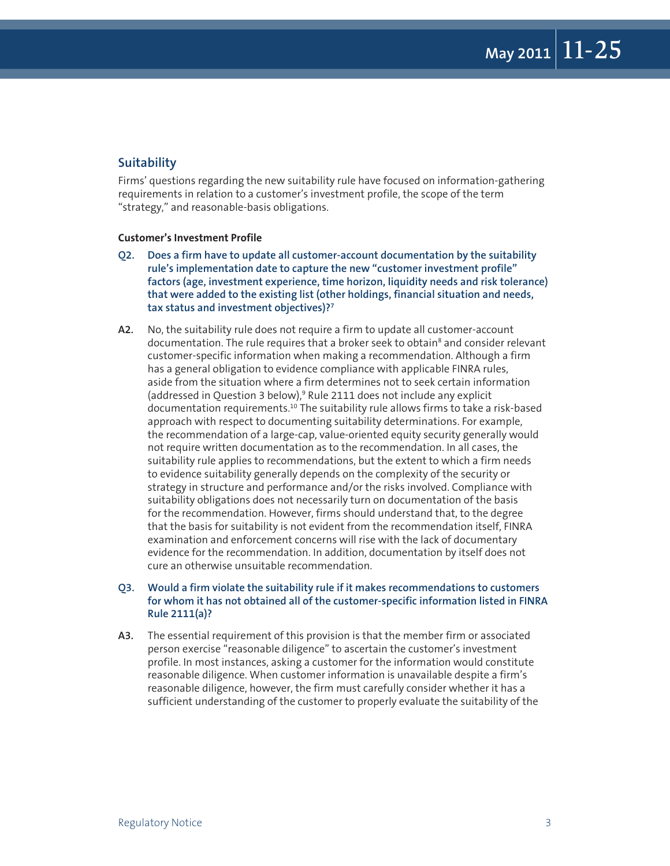#### **Suitability**

Firms' questions regarding the new suitability rule have focused on information-gathering requirements in relation to a customer's investment profile, the scope of the term "strategy," and reasonable-basis obligations.

#### **Customer's Investment Profile**

- **Q2. Does a firm have to update all customer-account documentation by the suitability rule's implementation date to capture the new "customer investment profile" factors (age, investment experience, time horizon, liquidity needs and risk tolerance) that were added to the existing list (other holdings, financial situation and needs, tax status and investment objectives)?7**
- **A2.** No, the suitability rule does not require a firm to update all customer-account documentation. The rule requires that a broker seek to obtain<sup>8</sup> and consider relevant customer-specific information when making a recommendation. Although a firm has a general obligation to evidence compliance with applicable FINRA rules, aside from the situation where a firm determines not to seek certain information (addressed in Question 3 below),<sup>9</sup> Rule 2111 does not include any explicit documentation requirements.10 The suitability rule allows firms to take a risk-based approach with respect to documenting suitability determinations. For example, the recommendation of a large-cap, value-oriented equity security generally would not require written documentation as to the recommendation. In all cases, the suitability rule applies to recommendations, but the extent to which a firm needs to evidence suitability generally depends on the complexity of the security or strategy in structure and performance and/or the risks involved. Compliance with suitability obligations does not necessarily turn on documentation of the basis for the recommendation. However, firms should understand that, to the degree that the basis for suitability is not evident from the recommendation itself, FINRA examination and enforcement concerns will rise with the lack of documentary evidence for the recommendation. In addition, documentation by itself does not cure an otherwise unsuitable recommendation.

#### **Q3. Would a firm violate the suitability rule if it makes recommendations to customers for whom it has not obtained all of the customer-specific information listed in FINRA Rule 2111(a)?**

**A3.** The essential requirement of this provision is that the member firm or associated person exercise "reasonable diligence" to ascertain the customer's investment profile. In most instances, asking a customer for the information would constitute reasonable diligence. When customer information is unavailable despite a firm's reasonable diligence, however, the firm must carefully consider whether it has a sufficient understanding of the customer to properly evaluate the suitability of the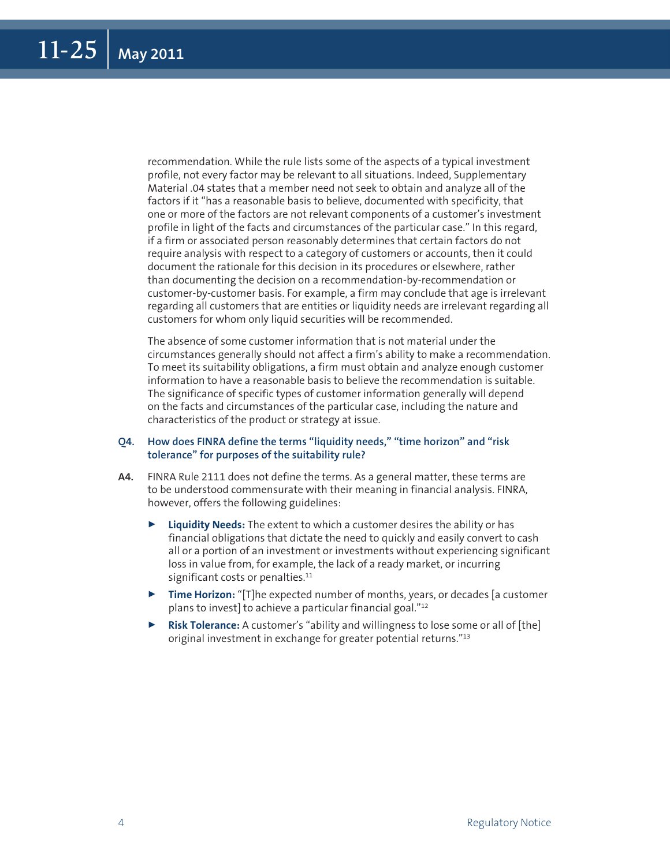recommendation. While the rule lists some of the aspects of a typical investment profile, not every factor may be relevant to all situations. Indeed, Supplementary Material .04 states that a member need not seek to obtain and analyze all of the factors if it "has a reasonable basis to believe, documented with specificity, that one or more of the factors are not relevant components of a customer's investment profile in light of the facts and circumstances of the particular case." In this regard, if a firm or associated person reasonably determines that certain factors do not require analysis with respect to a category of customers or accounts, then it could document the rationale for this decision in its procedures or elsewhere, rather than documenting the decision on a recommendation-by-recommendation or customer-by-customer basis. For example, a firm may conclude that age is irrelevant regarding all customers that are entities or liquidity needs are irrelevant regarding all customers for whom only liquid securities will be recommended.

The absence of some customer information that is not material under the circumstances generally should not affect a firm's ability to make a recommendation. To meet its suitability obligations, a firm must obtain and analyze enough customer information to have a reasonable basis to believe the recommendation is suitable. The significance of specific types of customer information generally will depend on the facts and circumstances of the particular case, including the nature and characteristics of the product or strategy at issue.

#### **Q4. How does FINRA define the terms "liquidity needs," "time horizon" and "risk tolerance" for purposes of the suitability rule?**

- **A4.** FINRA Rule 2111 does not define the terms. As a general matter, these terms are to be understood commensurate with their meaning in financial analysis. FINRA, however, offers the following guidelines:
	- Liquidity Needs: The extent to which a customer desires the ability or has financial obligations that dictate the need to quickly and easily convert to cash all or a portion of an investment or investments without experiencing significant loss in value from, for example, the lack of a ready market, or incurring significant costs or penalties.<sup>11</sup>
	- **Time Horizon:** "[T]he expected number of months, years, or decades [a customer plans to invest] to achieve a particular financial goal."12
	- **Risk Tolerance:** A customer's "ability and willingness to lose some or all of [the] original investment in exchange for greater potential returns."13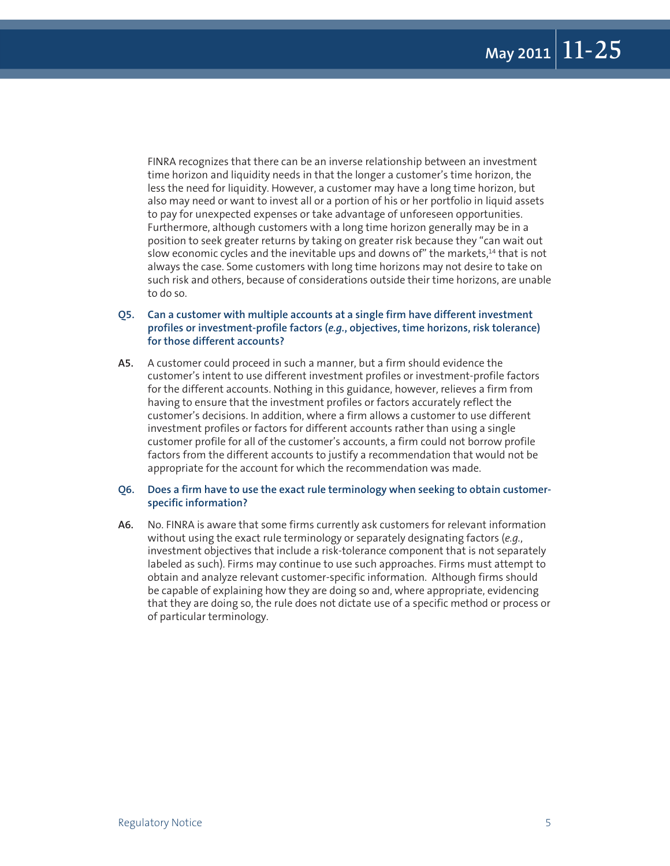FINRA recognizes that there can be an inverse relationship between an investment time horizon and liquidity needs in that the longer a customer's time horizon, the less the need for liquidity. However, a customer may have a long time horizon, but also may need or want to invest all or a portion of his or her portfolio in liquid assets to pay for unexpected expenses or take advantage of unforeseen opportunities. Furthermore, although customers with a long time horizon generally may be in a position to seek greater returns by taking on greater risk because they "can wait out slow economic cycles and the inevitable ups and downs of" the markets,<sup>14</sup> that is not always the case. Some customers with long time horizons may not desire to take on such risk and others, because of considerations outside their time horizons, are unable to do so.

#### **Q5. Can a customer with multiple accounts at a single firm have different investment profiles or investment-profile factors (***e.g.***, objectives, time horizons, risk tolerance) for those different accounts?**

**A5.** A customer could proceed in such a manner, but a firm should evidence the customer's intent to use different investment profiles or investment-profile factors for the different accounts. Nothing in this guidance, however, relieves a firm from having to ensure that the investment profiles or factors accurately reflect the customer's decisions. In addition, where a firm allows a customer to use different investment profiles or factors for different accounts rather than using a single customer profile for all of the customer's accounts, a firm could not borrow profile factors from the different accounts to justify a recommendation that would not be appropriate for the account for which the recommendation was made.

#### **Q6. Does a firm have to use the exact rule terminology when seeking to obtain customerspecific information?**

**A6.** No. FINRA is aware that some firms currently ask customers for relevant information without using the exact rule terminology or separately designating factors (*e.g.*, investment objectives that include a risk-tolerance component that is not separately labeled as such). Firms may continue to use such approaches. Firms must attempt to obtain and analyze relevant customer-specific information. Although firms should be capable of explaining how they are doing so and, where appropriate, evidencing that they are doing so, the rule does not dictate use of a specific method or process or of particular terminology.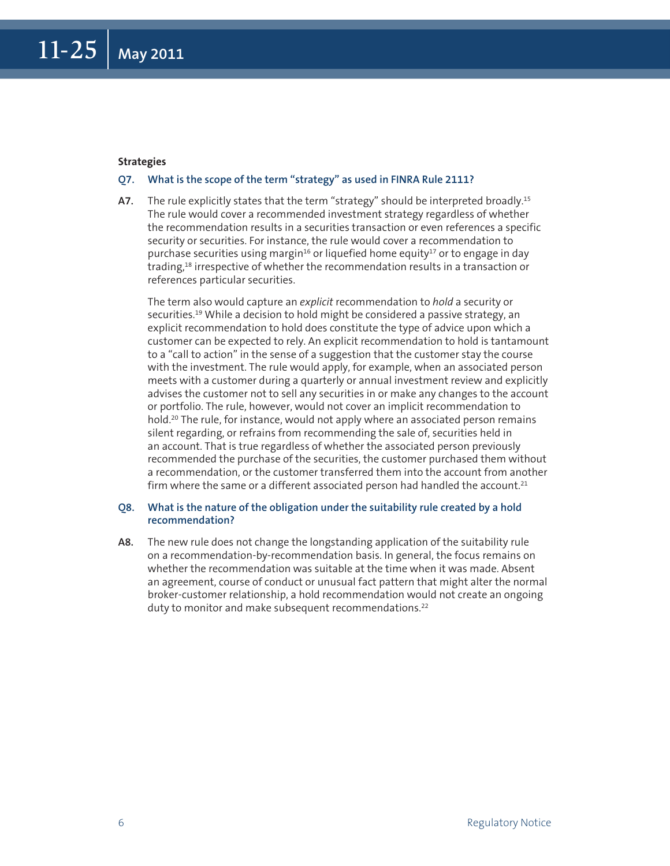#### **Strategies**

#### **Q7. What is the scope of the term "strategy" as used in FINRA Rule 2111?**

**A7.** The rule explicitly states that the term "strategy" should be interpreted broadly.15 The rule would cover a recommended investment strategy regardless of whether the recommendation results in a securities transaction or even references a specific security or securities. For instance, the rule would cover a recommendation to purchase securities using margin<sup>16</sup> or liquefied home equity<sup>17</sup> or to engage in day trading,<sup>18</sup> irrespective of whether the recommendation results in a transaction or references particular securities.

The term also would capture an *explicit* recommendation to *hold* a security or securities.<sup>19</sup> While a decision to hold might be considered a passive strategy, an explicit recommendation to hold does constitute the type of advice upon which a customer can be expected to rely. An explicit recommendation to hold is tantamount to a "call to action" in the sense of a suggestion that the customer stay the course with the investment. The rule would apply, for example, when an associated person meets with a customer during a quarterly or annual investment review and explicitly advises the customer not to sell any securities in or make any changes to the account or portfolio. The rule, however, would not cover an implicit recommendation to hold.<sup>20</sup> The rule, for instance, would not apply where an associated person remains silent regarding, or refrains from recommending the sale of, securities held in an account. That is true regardless of whether the associated person previously recommended the purchase of the securities, the customer purchased them without a recommendation, or the customer transferred them into the account from another firm where the same or a different associated person had handled the account. $21$ 

#### **Q8. What is the nature of the obligation under the suitability rule created by a hold recommendation?**

**A8.** The new rule does not change the longstanding application of the suitability rule on a recommendation-by-recommendation basis. In general, the focus remains on whether the recommendation was suitable at the time when it was made. Absent an agreement, course of conduct or unusual fact pattern that might alter the normal broker-customer relationship, a hold recommendation would not create an ongoing duty to monitor and make subsequent recommendations.<sup>22</sup>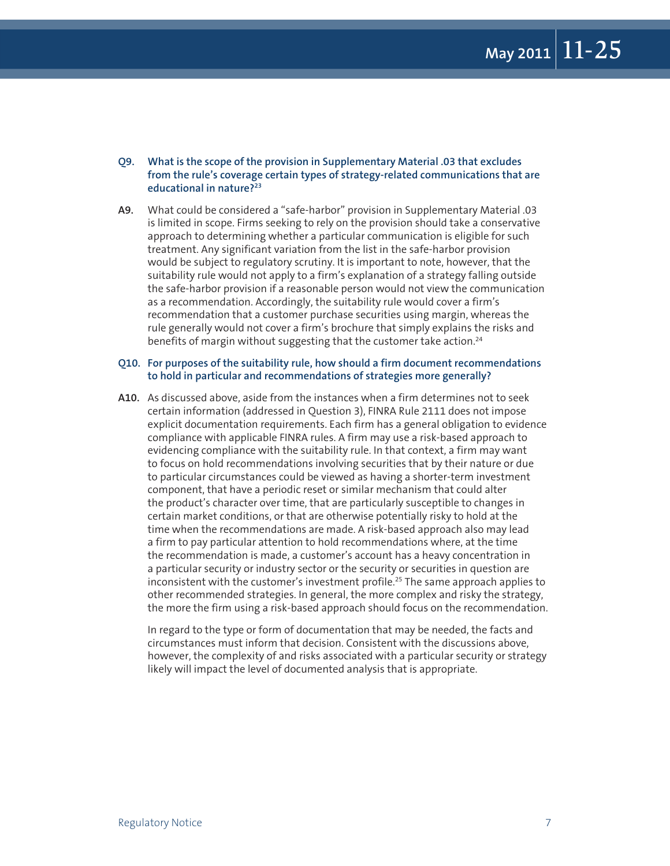- **Q9. What is the scope of the provision in Supplementary Material .03 that excludes from the rule's coverage certain types of strategy-related communications that are educational in nature?23**
- **A9.** What could be considered a "safe-harbor" provision in Supplementary Material .03 is limited in scope. Firms seeking to rely on the provision should take a conservative approach to determining whether a particular communication is eligible for such treatment. Any significant variation from the list in the safe-harbor provision would be subject to regulatory scrutiny. It is important to note, however, that the suitability rule would not apply to a firm's explanation of a strategy falling outside the safe-harbor provision if a reasonable person would not view the communication as a recommendation. Accordingly, the suitability rule would cover a firm's recommendation that a customer purchase securities using margin, whereas the rule generally would not cover a firm's brochure that simply explains the risks and benefits of margin without suggesting that the customer take action.<sup>24</sup>

#### **Q10. For purposes of the suitability rule, how should a firm document recommendations to hold in particular and recommendations of strategies more generally?**

**A10.** As discussed above, aside from the instances when a firm determines not to seek certain information (addressed in Question 3), FINRA Rule 2111 does not impose explicit documentation requirements. Each firm has a general obligation to evidence compliance with applicable FINRA rules. A firm may use a risk-based approach to evidencing compliance with the suitability rule. In that context, a firm may want to focus on hold recommendations involving securities that by their nature or due to particular circumstances could be viewed as having a shorter-term investment component, that have a periodic reset or similar mechanism that could alter the product's character over time, that are particularly susceptible to changes in certain market conditions, or that are otherwise potentially risky to hold at the time when the recommendations are made. A risk-based approach also may lead a firm to pay particular attention to hold recommendations where, at the time the recommendation is made, a customer's account has a heavy concentration in a particular security or industry sector or the security or securities in question are inconsistent with the customer's investment profile.<sup>25</sup> The same approach applies to other recommended strategies. In general, the more complex and risky the strategy, the more the firm using a risk-based approach should focus on the recommendation.

In regard to the type or form of documentation that may be needed, the facts and circumstances must inform that decision. Consistent with the discussions above, however, the complexity of and risks associated with a particular security or strategy likely will impact the level of documented analysis that is appropriate.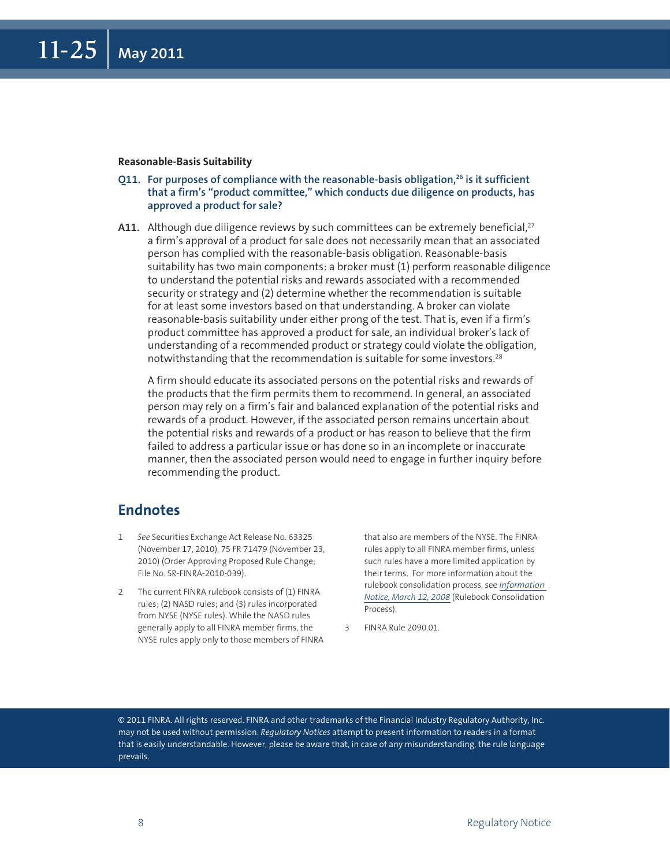#### **Reasonable-Basis Suitability**

- **Q11. For purposes of compliance with the reasonable-basis obligation,26 is it sufficient that a firm's "product committee," which conducts due diligence on products, has approved a product for sale?**
- A11. Although due diligence reviews by such committees can be extremely beneficial,<sup>27</sup> a firm's approval of a product for sale does not necessarily mean that an associated person has complied with the reasonable-basis obligation. Reasonable-basis suitability has two main components: a broker must (1) perform reasonable diligence to understand the potential risks and rewards associated with a recommended security or strategy and (2) determine whether the recommendation is suitable for at least some investors based on that understanding. A broker can violate reasonable-basis suitability under either prong of the test. That is, even if a firm's product committee has approved a product for sale, an individual broker's lack of understanding of a recommended product or strategy could violate the obligation, notwithstanding that the recommendation is suitable for some investors.28

A firm should educate its associated persons on the potential risks and rewards of the products that the firm permits them to recommend. In general, an associated person may rely on a firm's fair and balanced explanation of the potential risks and rewards of a product. However, if the associated person remains uncertain about the potential risks and rewards of a product or has reason to believe that the firm failed to address a particular issue or has done so in an incomplete or inaccurate manner, then the associated person would need to engage in further inquiry before recommending the product.

#### **Endnotes**

- 1 *See* Securities Exchange Act Release No. 63325 (November 17, 2010), 75 FR 71479 (November 23, 2010) (Order Approving Proposed Rule Change; File No. SR-FINRA-2010-039).
- 2 The current FINRA rulebook consists of (1) FINRA rules; (2) NASD rules; and (3) rules incorporated from NYSE (NYSE rules). While the NASD rules generally apply to all FINRA member firms, the NYSE rules apply only to those members of FINRA

that also are members of the NYSE. The FINRA rules apply to all FINRA member firms, unless such rules have a more limited application by their terms. For more information about the rulebook consolidation process, see *[Information](http://www.finra.org/Industry/Regulation/Notices/2008/P038122)  [Notice, March 12, 2008](http://www.finra.org/Industry/Regulation/Notices/2008/P038122)* (Rulebook Consolidation Process).

3 FINRA Rule 2090.01.

© 2011 FINRA. All rights reserved. FINRA and other trademarks of the Financial Industry Regulatory Authority, Inc. may not be used without permission. *Regulatory Notices* attempt to present information to readers in a format that is easily understandable. However, please be aware that, in case of any misunderstanding, the rule language prevails.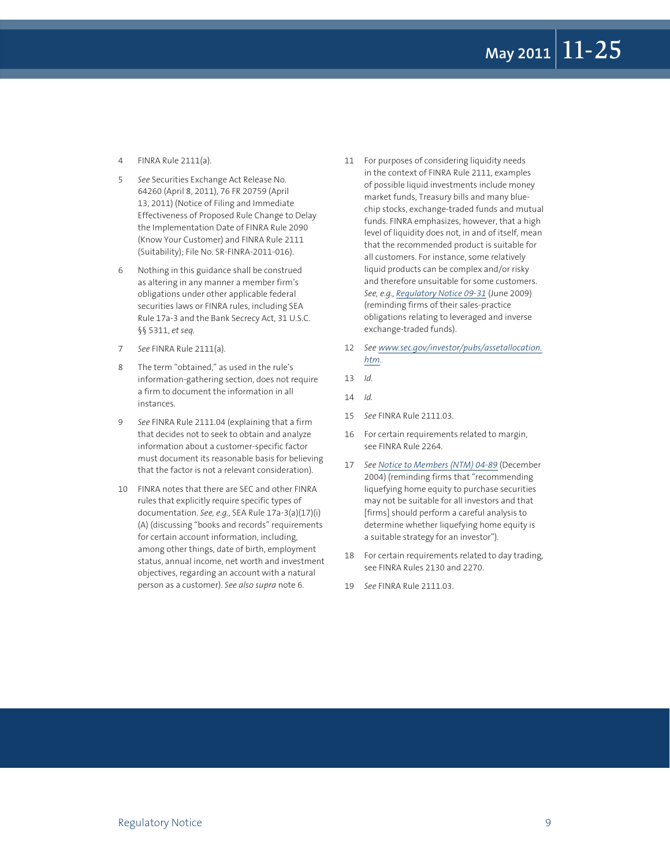- 4 FINRA Rule 2111(a).
- 5 *See* Securities Exchange Act Release No. 64260 (April 8, 2011), 76 FR 20759 (April 13, 2011) (Notice of Filing and Immediate Effectiveness of Proposed Rule Change to Delay the Implementation Date of FINRA Rule 2090 (Know Your Customer) and FINRA Rule 2111 (Suitability); File No. SR-FINRA-2011-016).
- 6 Nothing in this guidance shall be construed as altering in any manner a member firm's obligations under other applicable federal securities laws or FINRA rules, including SEA Rule 17a-3 and the Bank Secrecy Act, 31 U.S.C. §§ 5311, *et seq.*
- 7 *See* FINRA Rule 2111(a).
- 8 The term "obtained," as used in the rule's information-gathering section, does not require a firm to document the information in all instances.
- 9 *See* FINRA Rule 2111.04 (explaining that a firm that decides not to seek to obtain and analyze information about a customer-specific factor must document its reasonable basis for believing that the factor is not a relevant consideration).
- 10 FINRA notes that there are SEC and other FINRA rules that explicitly require specific types of documentation. *See, e.g.*, SEA Rule 17a-3(a)(17)(i) (A) (discussing "books and records" requirements for certain account information, including, among other things, date of birth, employment status, annual income, net worth and investment objectives, regarding an account with a natural person as a customer). *See also supra* note 6.
- 11 For purposes of considering liquidity needs in the context of FINRA Rule 2111, examples of possible liquid investments include money market funds, Treasury bills and many bluechip stocks, exchange-traded funds and mutual funds. FINRA emphasizes, however, that a high level of liquidity does not, in and of itself, mean that the recommended product is suitable for all customers. For instance, some relatively liquid products can be complex and/or risky and therefore unsuitable for some customers. *See, e.g., R[egulatory Notice 09-31](http://www.finra.org/Industry/Regulation/Notices/2009/P118953)* (June 2009) (reminding firms of their sales-practice obligations relating to leveraged and inverse exchange-traded funds).
- 12 *See w[ww.sec.gov/investor/pubs/assetallocation.](www.sec.gov/investor/pubs/assetallocation.htm) [htm](www.sec.gov/investor/pubs/assetallocation.htm)*.
- 13 *Id.*
- 14 *Id.*
- 15 *See* FINRA Rule 2111.03.
- 16 For certain requirements related to margin, see FINRA Rule 2264.
- 17 *See No[tice to Members \(NTM\) 04-89](http://www.finra.org/Industry/Regulation/Notices/2004/P012715)* (December 2004) (reminding firms that "recommending liquefying home equity to purchase securities may not be suitable for all investors and that [firms] should perform a careful analysis to determine whether liquefying home equity is a suitable strategy for an investor").
- 18 For certain requirements related to day trading, see FINRA Rules 2130 and 2270.
- 19 *See* FINRA Rule 2111.03.